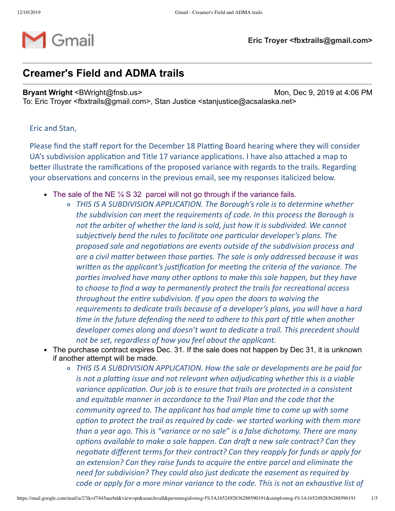

## **Creamer's Field and ADMA trails**

**Bryant Wright** <BWright@fnsb.us> Mon, Dec 9, 2019 at 4:06 PM

To: Eric Troyer <fbxtrails@gmail.com>, Stan Justice <stanjustice@acsalaska.net>

Eric and Stan,

Please find the staff report for the December 18 Platting Board hearing where they will consider UA's subdivision application and Title 17 variance applications. I have also attached a map to better illustrate the ramifications of the proposed variance with regards to the trails. Regarding your observations and concerns in the previous email, see my responses italicized below.

- The sale of the NE  $\frac{1}{4}$  S 32 parcel will not go through if the variance fails.
	- *THIS IS A SUBDIVISION APPLICATION. The Borough's role is to determine whether the subdivision can meet the requirements of code. In this process the Borough is not the arbiter of whether the land is sold, just how it is subdivided. We cannot subjectively bend the rules to facilitate one particular developer's plans. The proposed sale and negotiations are events outside of the subdivision process and are a civil maer between those pares. The sale is only addressed because it was written* as the *applicant's justification for meeting the criteria of the variance. The parties involved have many other options to make this sale happen, but they have to choose to find a way to permanently protect the trails for recreational access throughout the entire subdivision. If you open the doors to waiving the requirements to dedicate trails because of a developer's plans, you will have a hard me in the future defending the need to adhere to this part of tle when another developer comes along and doesn't want to dedicate a trail. This precedent should not be set, regardless of how you feel about the applicant.*
- The purchase contract expires Dec. 31. If the sale does not happen by Dec 31, it is unknown if another attempt will be made.
	- *THIS IS A SUBDIVISION APPLICATION. How the sale or developments are be paid for is* not a platting *issue* and not *relevant* when *adjudicating* whether this *is* a viable *variance application. Our job is to ensure that trails are protected in a consistent and equitable manner in accordance to the Trail Plan and the code that the community agreed to. The applicant has had ample me to come up with some coption to protect the trail as required by code- we started working with them more than a year ago. This is "variance or no sale" is a false dichotomy. There are many <i>options* available to make a sale happen. Can draft a new sale contract? Can they *negotiate different terms for their contract? Can they reapply for funds or apply for an extension? Can they raise funds to acquire the enre parcel and eliminate the need for subdivision? They could also just dedicate the easement as required by code or apply* for *a more minor variance to the code. This is not an exhaustive list of*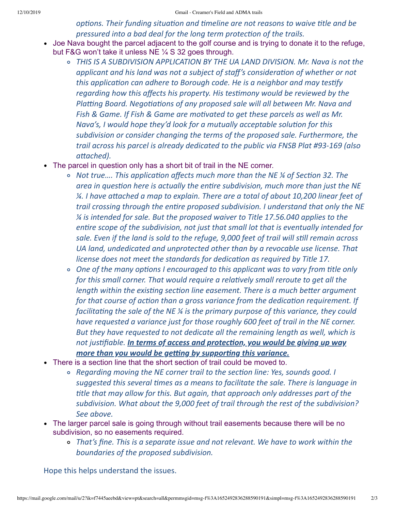*aptions. Their funding situation and timeline are not reasons to waive title and be pressured into a bad deal for the long term protecon of the trails.*

- Joe Nava bought the parcel adjacent to the golf course and is trying to donate it to the refuge, but F&G won't take it unless NE ¼ S 32 goes through.
	- *THIS IS A SUBDIVISION APPLICATION BY THE UA LAND DIVISION. Mr. Nava is not the applicant and his land was not a subject of staff's consideraon of whether or not this application can adhere to Borough code. He is a neighbor and may testify regarding how this affects his property. His tesmony would be reviewed by the Platting Board. Negotiations of any proposed sale will all between Mr. Nava and Fish* & *Game.* If *Fish* & *Game* are *motivated* to get these parcels as well as Mr. *Mava's, I* would hope they'd look for a mutually acceptable solution for this *subdivision or consider changing the terms of the proposed sale. Furthermore, the trail across his parcel is already dedicated to the public via FNSB Plat #93-169 (also* attached).
- The parcel in question only has a short bit of trail in the NE corner.
	- $\circ$  *Not true.... This application affects much more than the NE ¼ of Section 32. The area* in question here is actually the entire subdivision, much more than just the NE *¼. I have aached a map to explain. There are a total of about 10,200 linear feet of trail crossing through the enre proposed subdivision. I understand that only the NE ¼ is intended for sale. But the proposed waiver to Title 17.56.040 applies to the entire scope* of the *subdivision, not just that small lot that is eventually intended for sale. Even if the land is sold to the refuge, 9,000 feet of trail will sll remain across UA land, undedicated and unprotected other than by a revocable use license. That license does not meet the standards for dedicaon as required by Title 17.*
	- *One of the many opons I encouraged to this applicant was to vary from tle only for this small corner. That would require a relavely small reroute to get all the length* within the existing section line easement. There is a much better argument *for that course of action than a gross variance from the dedication requirement. If facilitating the sale of the NE*  $\frac{1}{4}$  *is the primary purpose of this variance*, *they could have requested a variance just for those roughly 600 feet of trail in the NE corner. But they have requested to not dedicate all the remaining length as well, which is not jusfiable. In terms of access and protecon, you would be giving up way more than* you would be getting by supporting this variance.
- There is a section line that the short section of trail could be moved to.
	- *Regarding moving the NE corner trail to the secon line: Yes, sounds good. I suggested this several mes as a means to facilitate the sale. There is language in tle that may allow for this. But again, that approach only addresses part of the subdivision. What about the 9,000 feet of trail through the rest of the subdivision? See above.*
- The larger parcel sale is going through without trail easements because there will be no subdivision, so no easements required.
	- *That's fine. This is a separate issue and not relevant. We have to work within the boundaries of the proposed subdivision.*

Hope this helps understand the issues.